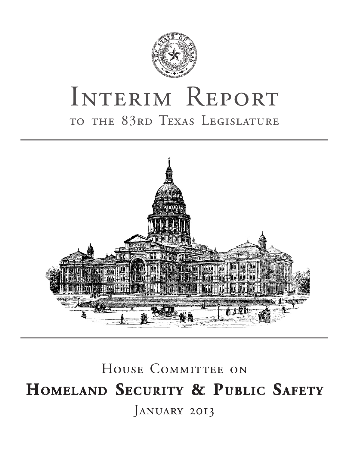

# INTERIM REPORT to the 83rd Texas Legislature



# HOUSE COMMITTEE ON **Homeland Security & Public Safety** JANUARY 2013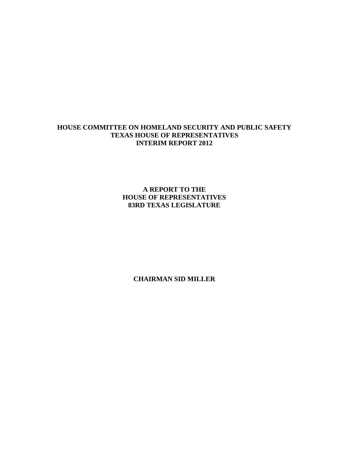# **HOUSE COMMITTEE ON HOMELAND SECURITY AND PUBLIC SAFETY TEXAS HOUSE OF REPRESENTATIVES INTERIM REPORT 2012**

**A REPORT TO THE HOUSE OF REPRESENTATIVES 83RD TEXAS LEGISLATURE**

**CHAIRMAN SID MILLER**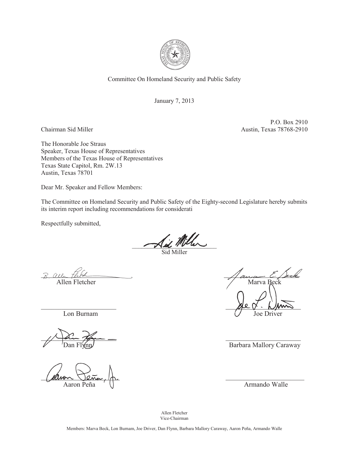

Committee On Homeland Security and Public Safety

January 7, 2013

P.O. Box 2910 Chairman Sid Miller Austin, Texas 78768-2910

The Honorable Joe Straus Speaker, Texas House of Representatives Members of the Texas House of Representatives Texas State Capitol, Rm. 2W.13 Austin, Texas 78701

Dear Mr. Speaker and Fellow Members:

The Committee on Homeland Security and Public Safety of the Eighty-second Legislature hereby submits its interim report including recommendations for considerati

Respectfully submitted,

Aid Miller

Sid Miller

 $R$  and the text  $\longleftarrow$ Allen Fletcher Marva Beck

 $\frac{1}{\sqrt{2\pi}}$ 

 $\mu$ linon Jeña,  $\frac{1}{n}$ Aaron Peña (a.c.)

 $\mathcal{L}$  .  $\mathcal{L}$  ,  $\mathcal{L}$ Lon Burnam  $\bigvee$  Joe Driver

Barbara Mallory Caraway

Allen Fletcher Vice-Chairman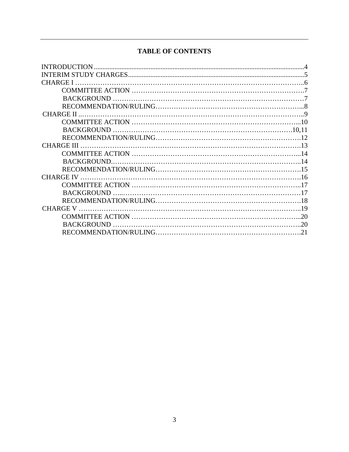# **TABLE OF CONTENTS**

| <b>INTRODUCTION</b> |  |
|---------------------|--|
|                     |  |
|                     |  |
|                     |  |
|                     |  |
|                     |  |
| <b>CHARGE II</b>    |  |
|                     |  |
|                     |  |
|                     |  |
| <b>CHARGE III</b>   |  |
|                     |  |
|                     |  |
|                     |  |
|                     |  |
|                     |  |
|                     |  |
|                     |  |
|                     |  |
|                     |  |
|                     |  |
|                     |  |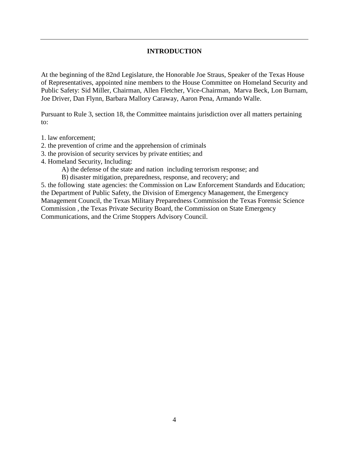#### **INTRODUCTION**

At the beginning of the 82nd Legislature, the Honorable Joe Straus, Speaker of the Texas House of Representatives, appointed nine members to the House Committee on Homeland Security and Public Safety: Sid Miller, Chairman, Allen Fletcher, Vice-Chairman, Marva Beck, Lon Burnam, Joe Driver, Dan Flynn, Barbara Mallory Caraway, Aaron Pena, Armando Walle.

Pursuant to Rule 3, section 18, the Committee maintains jurisdiction over all matters pertaining to:

- 1. law enforcement;
- 2. the prevention of crime and the apprehension of criminals
- 3. the provision of security services by private entities; and
- 4. Homeland Security, Including:
	- A) the defense of the state and nation including terrorism response; and
	- B) disaster mitigation, preparedness, response, and recovery; and

5. the following state agencies: the Commission on Law Enforcement Standards and Education; the Department of Public Safety, the Division of Emergency Management, the Emergency Management Council, the Texas Military Preparedness Commission the Texas Forensic Science Commission , the Texas Private Security Board, the Commission on State Emergency Communications, and the Crime Stoppers Advisory Council.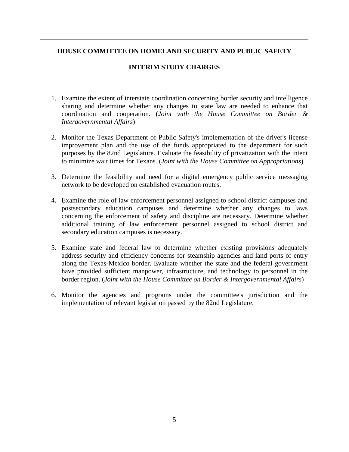#### **HOUSE COMMITTEE ON HOMELAND SECURITY AND PUBLIC SAFETY**

#### **INTERIM STUDY CHARGES**

- 1. Examine the extent of interstate coordination concerning border security and intelligence sharing and determine whether any changes to state law are needed to enhance that coordination and cooperation. (*Joint with the House Committee on Border & Intergovernmental Affairs*)
- 2. Monitor the Texas Department of Public Safety's implementation of the driver's license improvement plan and the use of the funds appropriated to the department for such purposes by the 82nd Legislature. Evaluate the feasibility of privatization with the intent to minimize wait times for Texans. (*Joint with the House Committee on Appropriations*)
- 3. Determine the feasibility and need for a digital emergency public service messaging network to be developed on established evacuation routes.
- 4. Examine the role of law enforcement personnel assigned to school district campuses and postsecondary education campuses and determine whether any changes to laws concerning the enforcement of safety and discipline are necessary. Determine whether additional training of law enforcement personnel assigned to school district and secondary education campuses is necessary.
- 5. Examine state and federal law to determine whether existing provisions adequately address security and efficiency concerns for steamship agencies and land ports of entry along the Texas-Mexico border. Evaluate whether the state and the federal government have provided sufficient manpower, infrastructure, and technology to personnel in the border region. (*Joint with the House Committee on Border & Intergovernmental Affairs*)
- 6. Monitor the agencies and programs under the committee's jurisdiction and the implementation of relevant legislation passed by the 82nd Legislature.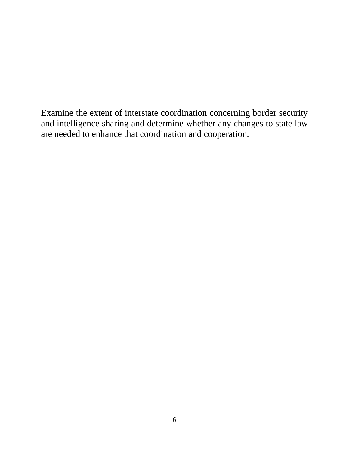Examine the extent of interstate coordination concerning border security and intelligence sharing and determine whether any changes to state law are needed to enhance that coordination and cooperation.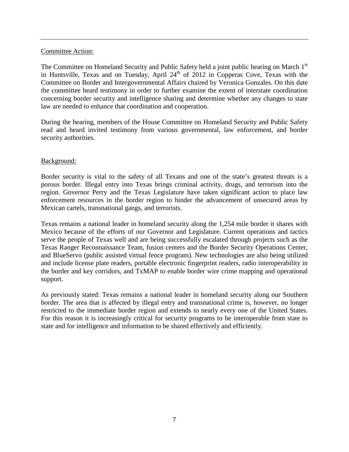#### Committee Action:

The Committee on Homeland Security and Public Safety held a joint public hearing on March 1<sup>st</sup> in Huntsville, Texas and on Tuesday, April 24<sup>th</sup> of 2012 in Copperas Cove, Texas with the Committee on Border and Intergovernmental Affairs chaired by Veronica Gonzales. On this date the committee heard testimony in order to further examine the extent of interstate coordination concerning border security and intelligence sharing and determine whether any changes to state law are needed to enhance that coordination and cooperation.

During the hearing, members of the House Committee on Homeland Security and Public Safety read and heard invited testimony from various governmental, law enforcement, and border security authorities.

#### Background:

Border security is vital to the safety of all Texans and one of the state's greatest threats is a porous border. Illegal entry into Texas brings criminal activity, drugs, and terrorism into the region. Governor Perry and the Texas Legislature have taken significant action to place law enforcement resources in the border region to hinder the advancement of unsecured areas by Mexican cartels, transnational gangs, and terrorists.

Texas remains a national leader in homeland security along the 1,254 mile border it shares with Mexico because of the efforts of our Governor and Legislature. Current operations and tactics serve the people of Texas well and are being successfully escalated through projects such as the Texas Ranger Reconnaissance Team, fusion centers and the Border Security Operations Center, and BlueServo (public assisted virtual fence program). New technologies are also being utilized and include license plate readers, portable electronic fingerprint readers, radio interoperability in the border and key corridors, and TxMAP to enable border wire crime mapping and operational support.

As previously stated: Texas remains a national leader in homeland security along our Southern border. The area that is affected by illegal entry and transnational crime is, however, no longer restricted to the immediate border region and extends to nearly every one of the United States. For this reason it is increasingly critical for security programs to be interoperable from state to state and for intelligence and information to be shared effectively and efficiently.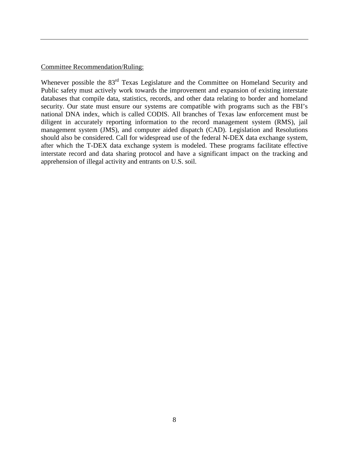Committee Recommendation/Ruling:

Whenever possible the 83<sup>rd</sup> Texas Legislature and the Committee on Homeland Security and Public safety must actively work towards the improvement and expansion of existing interstate databases that compile data, statistics, records, and other data relating to border and homeland security. Our state must ensure our systems are compatible with programs such as the FBI's national DNA index, which is called CODIS. All branches of Texas law enforcement must be diligent in accurately reporting information to the record management system (RMS), jail management system (JMS), and computer aided dispatch (CAD). Legislation and Resolutions should also be considered. Call for widespread use of the federal N-DEX data exchange system, after which the T-DEX data exchange system is modeled. These programs facilitate effective interstate record and data sharing protocol and have a significant impact on the tracking and apprehension of illegal activity and entrants on U.S. soil.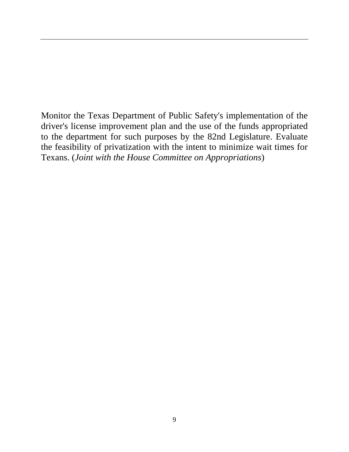Monitor the Texas Department of Public Safety's implementation of the driver's license improvement plan and the use of the funds appropriated to the department for such purposes by the 82nd Legislature. Evaluate the feasibility of privatization with the intent to minimize wait times for Texans. (*Joint with the House Committee on Appropriations*)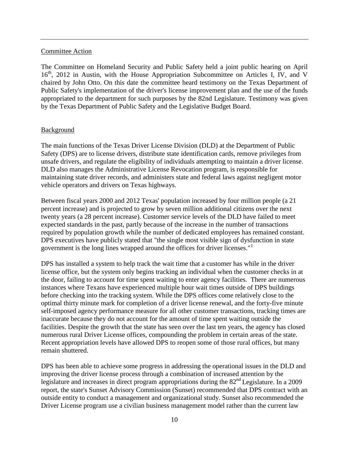#### Committee Action

The Committee on Homeland Security and Public Safety held a joint public hearing on April 16<sup>th</sup>, 2012 in Austin, with the House Appropriation Subcommittee on Articles I, IV, and V chaired by John Otto. On this date the committee heard testimony on the Texas Department of Public Safety's implementation of the driver's license improvement plan and the use of the funds appropriated to the department for such purposes by the 82nd Legislature. Testimony was given by the Texas Department of Public Safety and the Legislative Budget Board.

#### **Background**

The main functions of the Texas Driver License Division (DLD) at the Department of Public Safety (DPS) are to license drivers, distribute state identification cards, remove privileges from unsafe drivers, and regulate the eligibility of individuals attempting to maintain a driver license. DLD also manages the Administrative License Revocation program, is responsible for maintaining state driver records, and administers state and federal laws against negligent motor vehicle operators and drivers on Texas highways.

Between fiscal years 2000 and 2012 Texas' population increased by four million people (a 21 percent increase) and is projected to grow by seven million additional citizens over the next twenty years (a 28 percent increase). Customer service levels of the DLD have failed to meet expected standards in the past, partly because of the increase in the number of transactions required by population growth while the number of dedicated employees has remained constant. DPS executives have publicly stated that "the single most visible sign of dysfunction in state government is the long lines wrapped around the offices for driver licenses."<sup>[1](#page-22-0)</sup>

DPS has installed a system to help track the wait time that a customer has while in the driver license office, but the system only begins tracking an individual when the customer checks in at the door, failing to account for time spent waiting to enter agency facilities. There are numerous instances where Texans have experienced multiple hour wait times outside of DPS buildings before checking into the tracking system. While the DPS offices come relatively close to the optimal thirty minute mark for completion of a driver license renewal, and the forty-five minute self-imposed agency performance measure for all other customer transactions, tracking times are inaccurate because they do not account for the amount of time spent waiting outside the facilities. Despite the growth that the state has seen over the last ten years, the agency has closed numerous rural Driver License offices, compounding the problem in certain areas of the state. Recent appropriation levels have allowed DPS to reopen some of those rural offices, but many remain shuttered.

DPS has been able to achieve some progress in addressing the operational issues in the DLD and improving the driver license process through a combination of increased attention by the legislature and increases in direct program appropriations during the  $82<sup>nd</sup>$  Legislature. In a 2009 report, the state's Sunset Advisory Commission (Sunset) recommended that DPS contract with an outside entity to conduct a management and organizational study. Sunset also recommended the Driver License program use a civilian business management model rather than the current law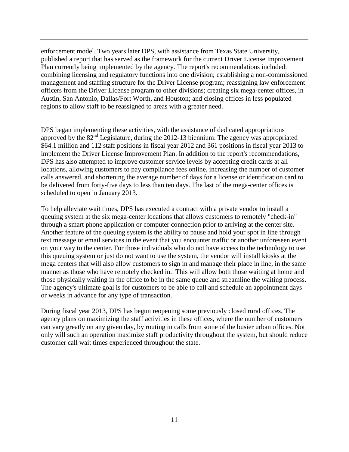enforcement model. Two years later DPS, with assistance from Texas State University, published a report that has served as the framework for the current Driver License Improvement Plan currently being implemented by the agency. The report's recommendations included: combining licensing and regulatory functions into one division; establishing a non-commissioned management and staffing structure for the Driver License program; reassigning law enforcement officers from the Driver License program to other divisions; creating six mega-center offices, in Austin, San Antonio, Dallas/Fort Worth, and Houston; and closing offices in less populated regions to allow staff to be reassigned to areas with a greater need.

DPS began implementing these activities, with the assistance of dedicated appropriations approved by the 82<sup>nd</sup> Legislature, during the 2012-13 biennium. The agency was appropriated \$64.1 million and 112 staff positions in fiscal year 2012 and 361 positions in fiscal year 2013 to implement the Driver License Improvement Plan. In addition to the report's recommendations, DPS has also attempted to improve customer service levels by accepting credit cards at all locations, allowing customers to pay compliance fees online, increasing the number of customer calls answered, and shortening the average number of days for a license or identification card to be delivered from forty-five days to less than ten days. The last of the mega-center offices is scheduled to open in January 2013.

To help alleviate wait times, DPS has executed a contract with a private vendor to install a queuing system at the six mega-center locations that allows customers to remotely "check-in" through a smart phone application or computer connection prior to arriving at the center site. Another feature of the queuing system is the ability to pause and hold your spot in line through text message or email services in the event that you encounter traffic or another unforeseen event on your way to the center. For those individuals who do not have access to the technology to use this queuing system or just do not want to use the system, the vendor will install kiosks at the mega centers that will also allow customers to sign in and manage their place in line, in the same manner as those who have remotely checked in. This will allow both those waiting at home and those physically waiting in the office to be in the same queue and streamline the waiting process. The agency's ultimate goal is for customers to be able to call and schedule an appointment days or weeks in advance for any type of transaction.

During fiscal year 2013, DPS has begun reopening some previously closed rural offices. The agency plans on maximizing the staff activities in these offices, where the number of customers can vary greatly on any given day, by routing in calls from some of the busier urban offices. Not only will such an operation maximize staff productivity throughout the system, but should reduce customer call wait times experienced throughout the state.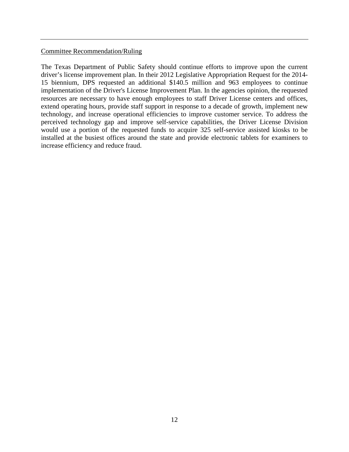#### Committee Recommendation/Ruling

The Texas Department of Public Safety should continue efforts to improve upon the current driver's license improvement plan. In their 2012 Legislative Appropriation Request for the 2014- 15 biennium, DPS requested an additional \$140.5 million and 963 employees to continue implementation of the Driver's License Improvement Plan. In the agencies opinion, the requested resources are necessary to have enough employees to staff Driver License centers and offices, extend operating hours, provide staff support in response to a decade of growth, implement new technology, and increase operational efficiencies to improve customer service. To address the perceived technology gap and improve self-service capabilities, the Driver License Division would use a portion of the requested funds to acquire 325 self-service assisted kiosks to be installed at the busiest offices around the state and provide electronic tablets for examiners to increase efficiency and reduce fraud.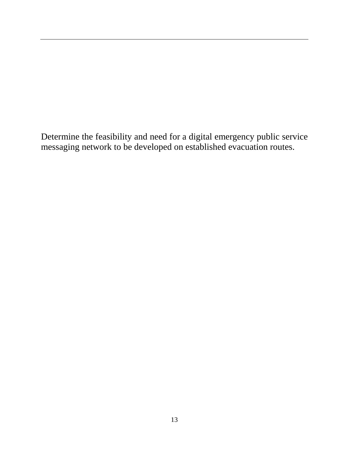Determine the feasibility and need for a digital emergency public service messaging network to be developed on established evacuation routes.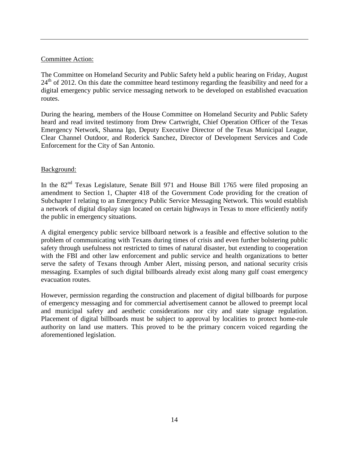#### Committee Action:

The Committee on Homeland Security and Public Safety held a public hearing on Friday, August  $24<sup>th</sup>$  of 2012. On this date the committee heard testimony regarding the feasibility and need for a digital emergency public service messaging network to be developed on established evacuation routes.

During the hearing, members of the House Committee on Homeland Security and Public Safety heard and read invited testimony from Drew Cartwright, Chief Operation Officer of the Texas Emergency Network, Shanna Igo, Deputy Executive Director of the Texas Municipal League, Clear Channel Outdoor, and Roderick Sanchez, Director of Development Services and Code Enforcement for the City of San Antonio.

# Background:

In the 82<sup>nd</sup> Texas Legislature, Senate Bill 971 and House Bill 1765 were filed proposing an amendment to Section 1, Chapter 418 of the Government Code providing for the creation of Subchapter I relating to an Emergency Public Service Messaging Network. This would establish a network of digital display sign located on certain highways in Texas to more efficiently notify the public in emergency situations.

A digital emergency public service billboard network is a feasible and effective solution to the problem of communicating with Texans during times of crisis and even further bolstering public safety through usefulness not restricted to times of natural disaster, but extending to cooperation with the FBI and other law enforcement and public service and health organizations to better serve the safety of Texans through Amber Alert, missing person, and national security crisis messaging. Examples of such digital billboards already exist along many gulf coast emergency evacuation routes.

However, permission regarding the construction and placement of digital billboards for purpose of emergency messaging and for commercial advertisement cannot be allowed to preempt local and municipal safety and aesthetic considerations nor city and state signage regulation. Placement of digital billboards must be subject to approval by localities to protect home-rule authority on land use matters. This proved to be the primary concern voiced regarding the aforementioned legislation.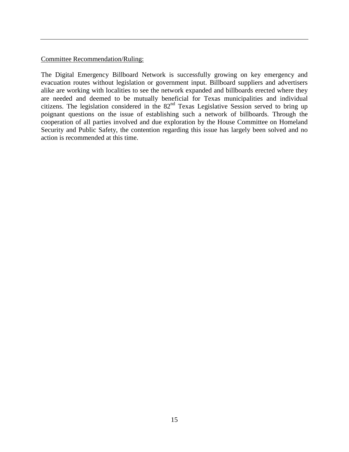#### Committee Recommendation/Ruling:

The Digital Emergency Billboard Network is successfully growing on key emergency and evacuation routes without legislation or government input. Billboard suppliers and advertisers alike are working with localities to see the network expanded and billboards erected where they are needed and deemed to be mutually beneficial for Texas municipalities and individual citizens. The legislation considered in the  $82<sup>nd</sup>$  Texas Legislative Session served to bring up poignant questions on the issue of establishing such a network of billboards. Through the cooperation of all parties involved and due exploration by the House Committee on Homeland Security and Public Safety, the contention regarding this issue has largely been solved and no action is recommended at this time.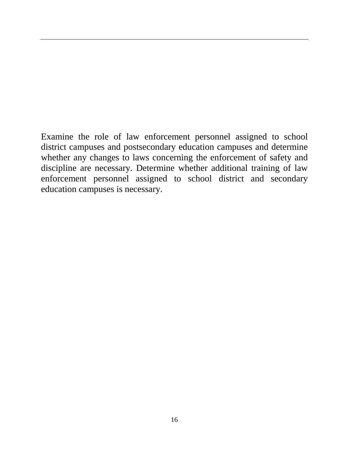Examine the role of law enforcement personnel assigned to school district campuses and postsecondary education campuses and determine whether any changes to laws concerning the enforcement of safety and discipline are necessary. Determine whether additional training of law enforcement personnel assigned to school district and secondary education campuses is necessary.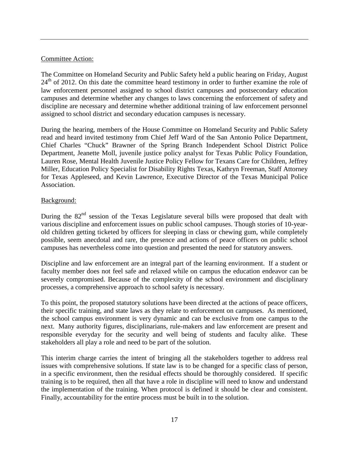#### Committee Action:

The Committee on Homeland Security and Public Safety held a public hearing on Friday, August 24<sup>th</sup> of 2012. On this date the committee heard testimony in order to further examine the role of law enforcement personnel assigned to school district campuses and postsecondary education campuses and determine whether any changes to laws concerning the enforcement of safety and discipline are necessary and determine whether additional training of law enforcement personnel assigned to school district and secondary education campuses is necessary.

During the hearing, members of the House Committee on Homeland Security and Public Safety read and heard invited testimony from Chief Jeff Ward of the San Antonio Police Department, Chief Charles "Chuck" Brawner of the Spring Branch Independent School District Police Department, Jeanette Moll, juvenile justice policy analyst for Texas Public Policy Foundation, Lauren Rose, Mental Health Juvenile Justice Policy Fellow for Texans Care for Children, Jeffrey Miller, Education Policy Specialist for Disability Rights Texas, Kathryn Freeman, Staff Attorney for Texas Appleseed, and Kevin Lawrence, Executive Director of the Texas Municipal Police Association.

# Background:

During the 82<sup>nd</sup> session of the Texas Legislature several bills were proposed that dealt with various discipline and enforcement issues on public school campuses. Though stories of 10-yearold children getting ticketed by officers for sleeping in class or chewing gum, while completely possible, seem anecdotal and rare, the presence and actions of peace officers on public school campuses has nevertheless come into question and presented the need for statutory answers.

Discipline and law enforcement are an integral part of the learning environment. If a student or faculty member does not feel safe and relaxed while on campus the education endeavor can be severely compromised. Because of the complexity of the school environment and disciplinary processes, a comprehensive approach to school safety is necessary.

To this point, the proposed statutory solutions have been directed at the actions of peace officers, their specific training, and state laws as they relate to enforcement on campuses. As mentioned, the school campus environment is very dynamic and can be exclusive from one campus to the next. Many authority figures, disciplinarians, rule-makers and law enforcement are present and responsible everyday for the security and well being of students and faculty alike. These stakeholders all play a role and need to be part of the solution.

This interim charge carries the intent of bringing all the stakeholders together to address real issues with comprehensive solutions. If state law is to be changed for a specific class of person, in a specific environment, then the residual effects should be thoroughly considered. If specific training is to be required, then all that have a role in discipline will need to know and understand the implementation of the training. When protocol is defined it should be clear and consistent. Finally, accountability for the entire process must be built in to the solution.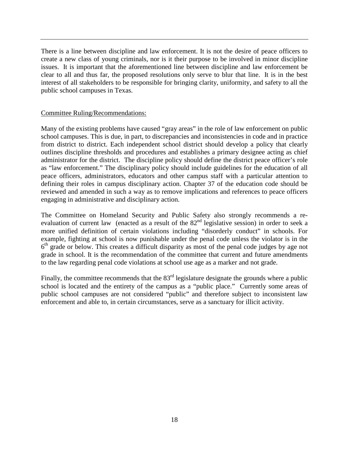There is a line between discipline and law enforcement. It is not the desire of peace officers to create a new class of young criminals, nor is it their purpose to be involved in minor discipline issues. It is important that the aforementioned line between discipline and law enforcement be clear to all and thus far, the proposed resolutions only serve to blur that line. It is in the best interest of all stakeholders to be responsible for bringing clarity, uniformity, and safety to all the public school campuses in Texas.

#### Committee Ruling/Recommendations:

Many of the existing problems have caused "gray areas" in the role of law enforcement on public school campuses. This is due, in part, to discrepancies and inconsistencies in code and in practice from district to district. Each independent school district should develop a policy that clearly outlines discipline thresholds and procedures and establishes a primary designee acting as chief administrator for the district. The discipline policy should define the district peace officer's role as "law enforcement." The disciplinary policy should include guidelines for the education of all peace officers, administrators, educators and other campus staff with a particular attention to defining their roles in campus disciplinary action. Chapter 37 of the education code should be reviewed and amended in such a way as to remove implications and references to peace officers engaging in administrative and disciplinary action.

The Committee on Homeland Security and Public Safety also strongly recommends a reevaluation of current law (enacted as a result of the 82<sup>nd</sup> legislative session) in order to seek a more unified definition of certain violations including "disorderly conduct" in schools. For example, fighting at school is now punishable under the penal code unless the violator is in the  $6<sup>th</sup>$  grade or below. This creates a difficult disparity as most of the penal code judges by age not grade in school. It is the recommendation of the committee that current and future amendments to the law regarding penal code violations at school use age as a marker and not grade.

Finally, the committee recommends that the  $83<sup>rd</sup>$  legislature designate the grounds where a public school is located and the entirety of the campus as a "public place." Currently some areas of public school campuses are not considered "public" and therefore subject to inconsistent law enforcement and able to, in certain circumstances, serve as a sanctuary for illicit activity.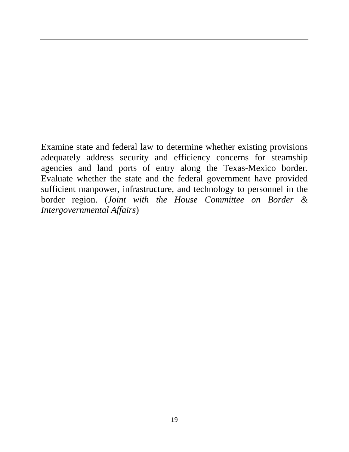Examine state and federal law to determine whether existing provisions adequately address security and efficiency concerns for steamship agencies and land ports of entry along the Texas-Mexico border. Evaluate whether the state and the federal government have provided sufficient manpower, infrastructure, and technology to personnel in the border region. (*Joint with the House Committee on Border & Intergovernmental Affairs*)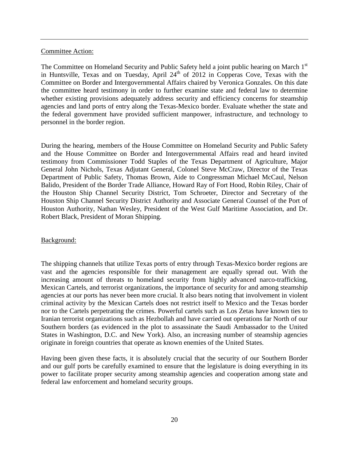#### Committee Action:

The Committee on Homeland Security and Public Safety held a joint public hearing on March 1<sup>st</sup> in Huntsville, Texas and on Tuesday, April  $24<sup>th</sup>$  of 2012 in Copperas Cove, Texas with the Committee on Border and Intergovernmental Affairs chaired by Veronica Gonzales. On this date the committee heard testimony in order to further examine state and federal law to determine whether existing provisions adequately address security and efficiency concerns for steamship agencies and land ports of entry along the Texas-Mexico border. Evaluate whether the state and the federal government have provided sufficient manpower, infrastructure, and technology to personnel in the border region.

During the hearing, members of the House Committee on Homeland Security and Public Safety and the House Committee on Border and Intergovernmental Affairs read and heard invited testimony from Commissioner Todd Staples of the Texas Department of Agriculture, Major General John Nichols, Texas Adjutant General, Colonel Steve McCraw, Director of the Texas Department of Public Safety, Thomas Brown, Aide to Congressman Michael McCaul, Nelson Balido, President of the Border Trade Alliance, Howard Ray of Fort Hood, Robin Riley, Chair of the Houston Ship Channel Security District, Tom Schroeter, Director and Secretary of the Houston Ship Channel Security District Authority and Associate General Counsel of the Port of Houston Authority, Nathan Wesley, President of the West Gulf Maritime Association, and Dr. Robert Black, President of Moran Shipping.

#### Background:

The shipping channels that utilize Texas ports of entry through Texas-Mexico border regions are vast and the agencies responsible for their management are equally spread out. With the increasing amount of threats to homeland security from highly advanced narco-trafficking, Mexican Cartels, and terrorist organizations, the importance of security for and among steamship agencies at our ports has never been more crucial. It also bears noting that involvement in violent criminal activity by the Mexican Cartels does not restrict itself to Mexico and the Texas border nor to the Cartels perpetrating the crimes. Powerful cartels such as Los Zetas have known ties to Iranian terrorist organizations such as Hezbollah and have carried out operations far North of our Southern borders (as evidenced in the plot to assassinate the Saudi Ambassador to the United States in Washington, D.C. and New York). Also, an increasing number of steamship agencies originate in foreign countries that operate as known enemies of the United States.

Having been given these facts, it is absolutely crucial that the security of our Southern Border and our gulf ports be carefully examined to ensure that the legislature is doing everything in its power to facilitate proper security among steamship agencies and cooperation among state and federal law enforcement and homeland security groups.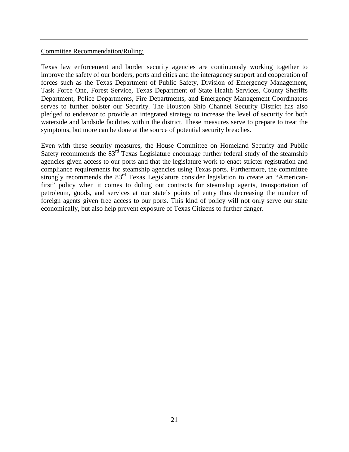#### Committee Recommendation/Ruling:

Texas law enforcement and border security agencies are continuously working together to improve the safety of our borders, ports and cities and the interagency support and cooperation of forces such as the Texas Department of Public Safety, Division of Emergency Management, Task Force One, Forest Service, Texas Department of State Health Services, County Sheriffs Department, Police Departments, Fire Departments, and Emergency Management Coordinators serves to further bolster our Security. The Houston Ship Channel Security District has also pledged to endeavor to provide an integrated strategy to increase the level of security for both waterside and landside facilities within the district. These measures serve to prepare to treat the symptoms, but more can be done at the source of potential security breaches.

Even with these security measures, the House Committee on Homeland Security and Public Safety recommends the  $83<sup>rd</sup>$  Texas Legislature encourage further federal study of the steamship agencies given access to our ports and that the legislature work to enact stricter registration and compliance requirements for steamship agencies using Texas ports. Furthermore, the committee strongly recommends the 83<sup>rd</sup> Texas Legislature consider legislation to create an "Americanfirst" policy when it comes to doling out contracts for steamship agents, transportation of petroleum, goods, and services at our state's points of entry thus decreasing the number of foreign agents given free access to our ports. This kind of policy will not only serve our state economically, but also help prevent exposure of Texas Citizens to further danger.